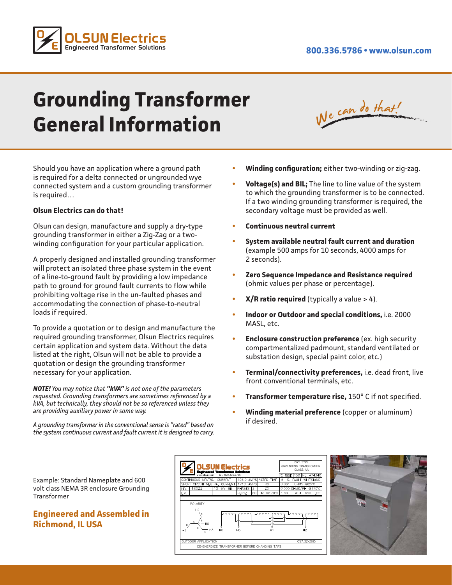

# **Grounding Transformer General Information**

| We can do that!<br>ATT AFT ON |
|-------------------------------|
|-------------------------------|

Should you have an application where a ground path is required for a delta connected or ungrounded wye connected system and a custom grounding transformer is required…

#### **Olsun Electrics can do that!**

Olsun can design, manufacture and supply a dry-type grounding transformer in either a Zig-Zag or a twowinding configuration for your particular application.

A properly designed and installed grounding transformer will protect an isolated three phase system in the event of a line-to-ground fault by providing a low impedance path to ground for ground fault currents to flow while prohibiting voltage rise in the un-faulted phases and accommodating the connection of phase-to-neutral loads if required.

To provide a quotation or to design and manufacture the required grounding transformer, Olsun Electrics requires certain application and system data. Without the data listed at the right, Olsun will not be able to provide a quotation or design the grounding transformer necessary for your application.

*NOTE! You may notice that "kVA" is not one of the parameters requested. Grounding transformers are sometimes referenced by a kVA, but technically, they should not be so referenced unless they are providing auxiliary power in some way.*

*A grounding transformer in the conventional sense is "rated" based on the system continuous current and fault current it is designed to carry.*

- **• Winding configuration;** either two-winding or zig-zag.
- **• Voltage(s) and BIL;** The line to line value of the system to which the grounding transformer is to be connected. If a two winding grounding transformer is required, the secondary voltage must be provided as well.
- **• Continuous neutral current**
- **• System available neutral fault current and duration**  (example 500 amps for 10 seconds, 4000 amps for 2 seconds).
- **• Zero Sequence Impedance and Resistance required**  (ohmic values per phase or percentage).
- **• X/R ratio required** (typically a value > 4).
- **• Indoor or Outdoor and special conditions,** i.e. 2000 MASL, etc.
- **• Enclosure construction preference** (ex. high security compartmentalized padmount, standard ventilated or substation design, special paint color, etc.)
- **• Terminal/connectivity preferences,** i.e. dead front, live front conventional terminals, etc.
- **• Transformer temperature rise,** 150° C if not specified.
- **• Winding material preference** (copper or aluminum) if desired.

Example: Standard Nameplate and 600 volt class NEMA 3R enclosure Grounding Transformer

### **Engineered and Assembled in Richmond, IL USA**